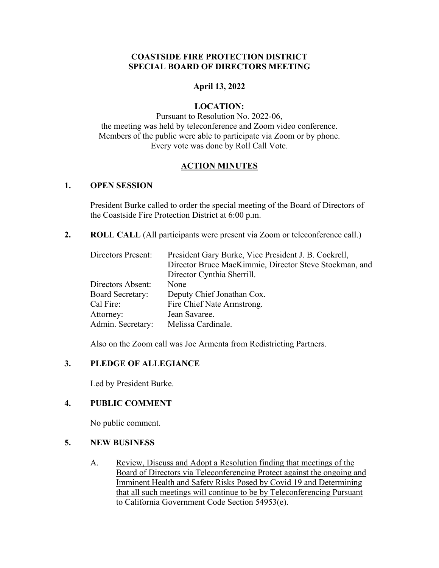#### **COASTSIDE FIRE PROTECTION DISTRICT SPECIAL BOARD OF DIRECTORS MEETING**

#### **April 13, 2022**

#### **LOCATION:**

Pursuant to Resolution No. 2022-06, the meeting was held by teleconference and Zoom video conference. Members of the public were able to participate via Zoom or by phone. Every vote was done by Roll Call Vote.

#### **ACTION MINUTES**

#### **1. OPEN SESSION**

President Burke called to order the special meeting of the Board of Directors of the Coastside Fire Protection District at 6:00 p.m.

**2. ROLL CALL** (All participants were present via Zoom or teleconference call.)

| Directors Present:      | President Gary Burke, Vice President J. B. Cockrell,   |
|-------------------------|--------------------------------------------------------|
|                         | Director Bruce MacKimmie, Director Steve Stockman, and |
|                         | Director Cynthia Sherrill.                             |
| Directors Absent:       | None                                                   |
| <b>Board Secretary:</b> | Deputy Chief Jonathan Cox.                             |
| Cal Fire:               | Fire Chief Nate Armstrong.                             |
| Attorney:               | Jean Savaree.                                          |
| Admin. Secretary:       | Melissa Cardinale.                                     |

Also on the Zoom call was Joe Armenta from Redistricting Partners.

## **3. PLEDGE OF ALLEGIANCE**

Led by President Burke.

# **4. PUBLIC COMMENT**

No public comment.

## **5. NEW BUSINESS**

A. Review, Discuss and Adopt a Resolution finding that meetings of the Board of Directors via Teleconferencing Protect against the ongoing and Imminent Health and Safety Risks Posed by Covid 19 and Determining that all such meetings will continue to be by Teleconferencing Pursuant to California Government Code Section 54953(e).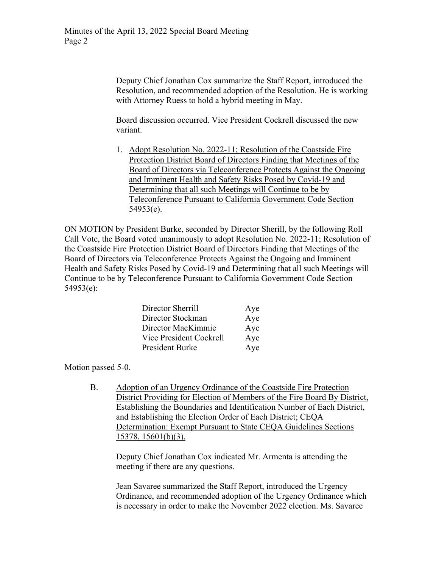Deputy Chief Jonathan Cox summarize the Staff Report, introduced the Resolution, and recommended adoption of the Resolution. He is working with Attorney Ruess to hold a hybrid meeting in May.

Board discussion occurred. Vice President Cockrell discussed the new variant.

1. Adopt Resolution No. 2022-11; Resolution of the Coastside Fire Protection District Board of Directors Finding that Meetings of the Board of Directors via Teleconference Protects Against the Ongoing and Imminent Health and Safety Risks Posed by Covid-19 and Determining that all such Meetings will Continue to be by Teleconference Pursuant to California Government Code Section  $54953(e)$ .

ON MOTION by President Burke, seconded by Director Sherill, by the following Roll Call Vote, the Board voted unanimously to adopt Resolution No. 2022-11; Resolution of the Coastside Fire Protection District Board of Directors Finding that Meetings of the Board of Directors via Teleconference Protects Against the Ongoing and Imminent Health and Safety Risks Posed by Covid-19 and Determining that all such Meetings will Continue to be by Teleconference Pursuant to California Government Code Section 54953(e):

| Director Sherrill       | Aye |
|-------------------------|-----|
| Director Stockman       | Aye |
| Director MacKimmie      | Aye |
| Vice President Cockrell | Aye |
| President Burke         | Aye |

Motion passed 5-0.

B. Adoption of an Urgency Ordinance of the Coastside Fire Protection District Providing for Election of Members of the Fire Board By District, Establishing the Boundaries and Identification Number of Each District, and Establishing the Election Order of Each District; CEQA Determination: Exempt Pursuant to State CEQA Guidelines Sections 15378, 15601(b)(3).

Deputy Chief Jonathan Cox indicated Mr. Armenta is attending the meeting if there are any questions.

Jean Savaree summarized the Staff Report, introduced the Urgency Ordinance, and recommended adoption of the Urgency Ordinance which is necessary in order to make the November 2022 election. Ms. Savaree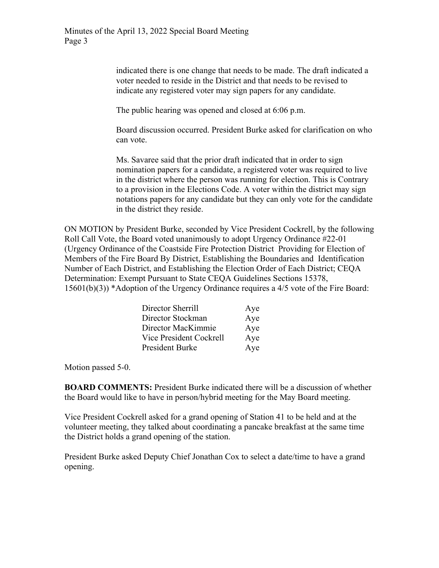indicated there is one change that needs to be made. The draft indicated a voter needed to reside in the District and that needs to be revised to indicate any registered voter may sign papers for any candidate.

The public hearing was opened and closed at 6:06 p.m.

Board discussion occurred. President Burke asked for clarification on who can vote.

Ms. Savaree said that the prior draft indicated that in order to sign nomination papers for a candidate, a registered voter was required to live in the district where the person was running for election. This is Contrary to a provision in the Elections Code. A voter within the district may sign notations papers for any candidate but they can only vote for the candidate in the district they reside.

ON MOTION by President Burke, seconded by Vice President Cockrell, by the following Roll Call Vote, the Board voted unanimously to adopt Urgency Ordinance #22-01 (Urgency Ordinance of the Coastside Fire Protection District Providing for Election of Members of the Fire Board By District, Establishing the Boundaries and Identification Number of Each District, and Establishing the Election Order of Each District; CEQA Determination: Exempt Pursuant to State CEQA Guidelines Sections 15378, 15601(b)(3)) \*Adoption of the Urgency Ordinance requires a 4/5 vote of the Fire Board:

| Director Sherrill       | Aye |
|-------------------------|-----|
| Director Stockman       | Aye |
| Director MacKimmie      | Aye |
| Vice President Cockrell | Aye |
| President Burke         | Aye |

Motion passed 5-0.

**BOARD COMMENTS:** President Burke indicated there will be a discussion of whether the Board would like to have in person/hybrid meeting for the May Board meeting.

Vice President Cockrell asked for a grand opening of Station 41 to be held and at the volunteer meeting, they talked about coordinating a pancake breakfast at the same time the District holds a grand opening of the station.

President Burke asked Deputy Chief Jonathan Cox to select a date/time to have a grand opening.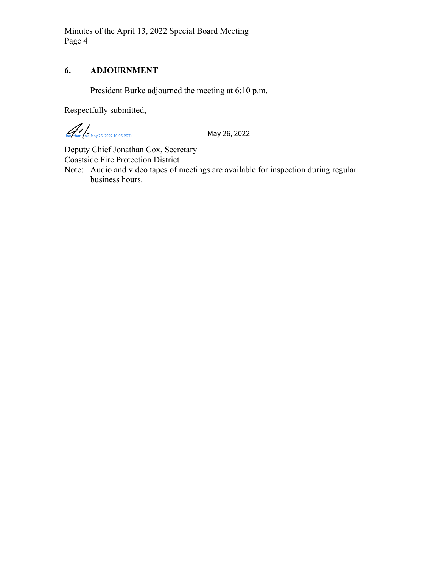Minutes of the April 13, 2022 Special Board Meeting Page 4

# **6. ADJOURNMENT**

President Burke adjourned the meeting at 6:10 p.m.

Respectfully submitted,

 $\frac{1}{\sqrt{25}}\sqrt{\frac{1}{\sqrt{25}}\left(\frac{1}{\sqrt{25}}\right)^2}$  May 26, 2022

Deputy Chief Jonathan Cox, Secretary Coastside Fire Protection District

Note: Audio and video tapes of meetings are available for inspection during regular business hours.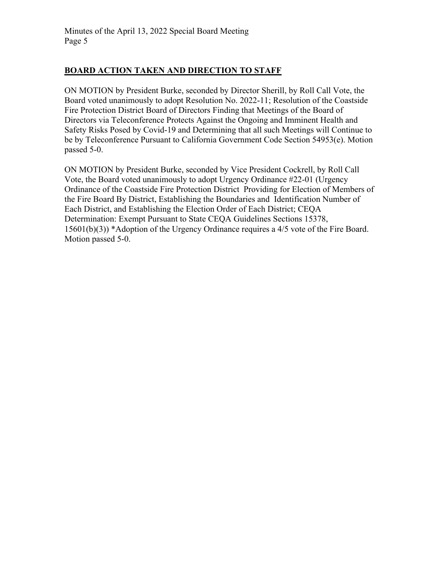# **BOARD ACTION TAKEN AND DIRECTION TO STAFF**

ON MOTION by President Burke, seconded by Director Sherill, by Roll Call Vote, the Board voted unanimously to adopt Resolution No. 2022-11; Resolution of the Coastside Fire Protection District Board of Directors Finding that Meetings of the Board of Directors via Teleconference Protects Against the Ongoing and Imminent Health and Safety Risks Posed by Covid-19 and Determining that all such Meetings will Continue to be by Teleconference Pursuant to California Government Code Section 54953(e). Motion passed 5-0.

ON MOTION by President Burke, seconded by Vice President Cockrell, by Roll Call Vote, the Board voted unanimously to adopt Urgency Ordinance #22-01 (Urgency Ordinance of the Coastside Fire Protection District Providing for Election of Members of the Fire Board By District, Establishing the Boundaries and Identification Number of Each District, and Establishing the Election Order of Each District; CEQA Determination: Exempt Pursuant to State CEQA Guidelines Sections 15378, 15601(b)(3)) \*Adoption of the Urgency Ordinance requires a 4/5 vote of the Fire Board. Motion passed 5-0.